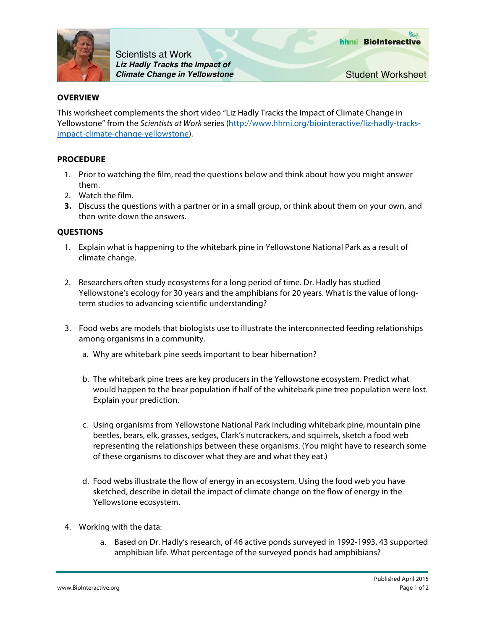

Scientists at Work *Liz Hadly Tracks the Impact of Climate Change in Yellowstone*

## **OVERVIEW**

This worksheet complements the short video "Liz Hadly Tracks the Impact of Climate Change in Yellowstone" from the *Scientists at Work* series (http://www.hhmi.org/biointeractive/liz-hadly-tracksimpact-climate-change-yellowstone).

## **PROCEDURE**

- 1. Prior to watching the film, read the questions below and think about how you might answer them.
- 2. Watch the film.
- **3.** Discuss the questions with a partner or in a small group, or think about them on your own, and then write down the answers.

## **QUESTIONS**

- 1. Explain what is happening to the whitebark pine in Yellowstone National Park as a result of climate change.
- 2. Researchers often study ecosystems for a long period of time. Dr. Hadly has studied Yellowstone's ecology for 30 years and the amphibians for 20 years. What is the value of longterm studies to advancing scientific understanding?
- 3. Food webs are models that biologists use to illustrate the interconnected feeding relationships among organisms in a community.
	- a. Why are whitebark pine seeds important to bear hibernation?
	- b. The whitebark pine trees are key producers in the Yellowstone ecosystem. Predict what would happen to the bear population if half of the whitebark pine tree population were lost. Explain your prediction.
	- c. Using organisms from Yellowstone National Park including whitebark pine, mountain pine beetles, bears, elk, grasses, sedges, Clark's nutcrackers, and squirrels, sketch a food web representing the relationships between these organisms. (You might have to research some of these organisms to discover what they are and what they eat.)
	- d. Food webs illustrate the flow of energy in an ecosystem. Using the food web you have sketched, describe in detail the impact of climate change on the flow of energy in the Yellowstone ecosystem.
- 4. Working with the data:
	- a. Based on Dr. Hadly's research, of 46 active ponds surveyed in 1992-1993, 43 supported amphibian life. What percentage of the surveyed ponds had amphibians?